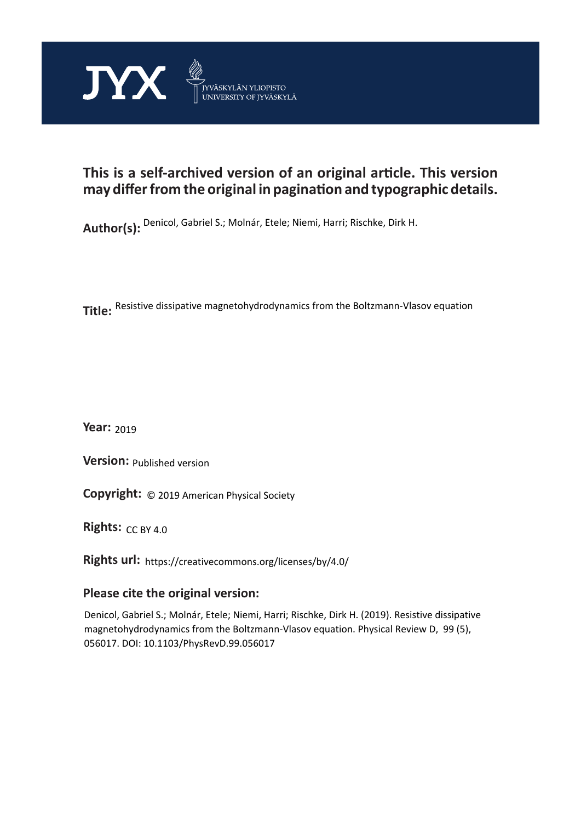

# **This is a self-archived version of an original article. This version may differ from the original in pagination and typographic details.**

**Author(s):**  Denicol, Gabriel S.; Molnár, Etele; Niemi, Harri; Rischke, Dirk H.

**Title:**  Resistive dissipative magnetohydrodynamics from the Boltzmann-Vlasov equation

**Year:**  2019

**Version: Published version** 

**Version:** Published version<br>**Copyright:** © 2019 American Physical Society

**Rights:** CC BY 4.0

**Rights url:**  https://creativecommons.org/licenses/by/4.0/

# **Please cite the original version:**

Denicol, Gabriel S.; Molnár, Etele; Niemi, Harri; Rischke, Dirk H. (2019). Resistive dissipative magnetohydrodynamics from the Boltzmann-Vlasov equation. Physical Review D, 99 (5), 056017. DOI: 10.1103/PhysRevD.99.056017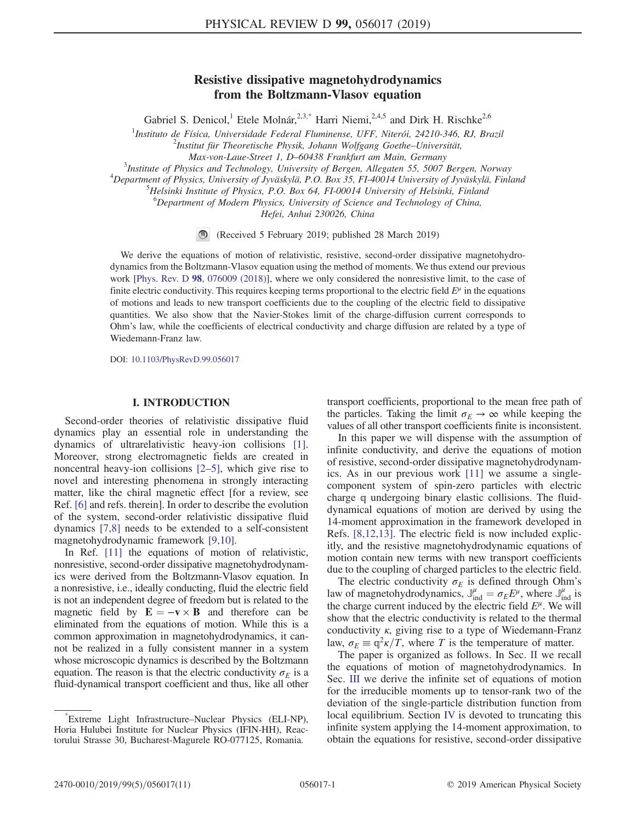# Resistive dissipative magnetohydrodynamics from the Boltzmann-Vlasov equation

Gabriel S. Denicol,<sup>1</sup> Etele Molnár,<sup>2,3[,\\*](#page-1-0)</sup> Harri Niemi,<sup>2,4,5</sup> and Dirk H. Rischke<sup>2,6</sup>

<span id="page-1-1"></span><sup>1</sup>Instituto de Física, Universidade Federal Fluminense, UFF, Niterói, 24210-346, RJ, Brazil<br><sup>2</sup>Institut für Theoretische Bhysik, Johann Wolfgang Coethe Universität

 $10^{2}$ Institut für Theoretische Physik, Johann Wolfgang Goethe–Universität,

Max-von-Laue-Street 1, D–60438 Frankfurt am Main, Germany <sup>3</sup>

 ${}^{3}$ Institute of Physics and Technology, University of Bergen, Allegaten 55, 5007 Bergen, Norway

 $^{4}$ Department of Physics, University of Jyväskylä, P.O. Box 35, FI-40014 University of Jyväskylä, Finland

 $H$ -Helsinki Institute of Physics, P.O. Box 64, FI-00014 University of Helsinki, Finland

<sup>6</sup>Department of Modern Physics, University of Science and Technology of China,

Hefei, Anhui 230026, China

(Received 5 February 2019; published 28 March 2019)

We derive the equations of motion of relativistic, resistive, second-order dissipative magnetohydrodynamics from the Boltzmann-Vlasov equation using the method of moments. We thus extend our previous work [Phys. Rev. D 98[, 076009 \(2018\)\]](https://doi.org/10.1103/PhysRevD.98.076009), where we only considered the nonresistive limit, to the case of finite electric conductivity. This requires keeping terms proportional to the electric field  $E^{\mu}$  in the equations of motions and leads to new transport coefficients due to the coupling of the electric field to dissipative quantities. We also show that the Navier-Stokes limit of the charge-diffusion current corresponds to Ohm's law, while the coefficients of electrical conductivity and charge diffusion are related by a type of Wiedemann-Franz law.

DOI: [10.1103/PhysRevD.99.056017](https://doi.org/10.1103/PhysRevD.99.056017)

#### I. INTRODUCTION

Second-order theories of relativistic dissipative fluid dynamics play an essential role in understanding the dynamics of ultrarelativistic heavy-ion collisions [\[1\]](#page-10-0). Moreover, strong electromagnetic fields are created in noncentral heavy-ion collisions [2–[5\],](#page-10-1) which give rise to novel and interesting phenomena in strongly interacting matter, like the chiral magnetic effect [for a review, see Ref. [\[6\]](#page-10-2) and refs. therein]. In order to describe the evolution of the system, second-order relativistic dissipative fluid dynamics [\[7,8\]](#page-10-3) needs to be extended to a self-consistent magnetohydrodynamic framework [\[9,10\].](#page-10-4)

In Ref. [\[11\]](#page-10-5) the equations of motion of relativistic, nonresistive, second-order dissipative magnetohydrodynamics were derived from the Boltzmann-Vlasov equation. In a nonresistive, i.e., ideally conducting, fluid the electric field is not an independent degree of freedom but is related to the magnetic field by  $\mathbf{E} = -\mathbf{v} \times \mathbf{B}$  and therefore can be eliminated from the equations of motion. While this is a common approximation in magnetohydrodynamics, it cannot be realized in a fully consistent manner in a system whose microscopic dynamics is described by the Boltzmann equation. The reason is that the electric conductivity  $\sigma_E$  is a fluid-dynamical transport coefficient and thus, like all other transport coefficients, proportional to the mean free path of the particles. Taking the limit  $\sigma_E \rightarrow \infty$  while keeping the values of all other transport coefficients finite is inconsistent.

In this paper we will dispense with the assumption of infinite conductivity, and derive the equations of motion of resistive, second-order dissipative magnetohydrodynamics. As in our previous work [\[11\]](#page-10-5) we assume a singlecomponent system of spin-zero particles with electric charge q undergoing binary elastic collisions. The fluiddynamical equations of motion are derived by using the 14-moment approximation in the framework developed in Refs. [\[8,12,13\]](#page-10-6). The electric field is now included explicitly, and the resistive magnetohydrodynamic equations of motion contain new terms with new transport coefficients due to the coupling of charged particles to the electric field.

The electric conductivity  $\sigma_E$  is defined through Ohm's law of magnetohydrodynamics,  $J_{ind}^{\mu} = \sigma_E E^{\mu}$ , where  $J_{ind}^{\mu}$  is the charge current induced by the electric field  $E^{\mu}$ . We will show that the electric conductivity is related to the thermal conductivity  $\kappa$ , giving rise to a type of Wiedemann-Franz law,  $\sigma_E \equiv \mathbb{q}^2 \kappa / T$ , where T is the temperature of matter.

The paper is organized as follows. In Sec. [II](#page-2-0) we recall the equations of motion of magnetohydrodynamics. In Sec. [III](#page-2-1) we derive the infinite set of equations of motion for the irreducible moments up to tensor-rank two of the deviation of the single-particle distribution function from local equilibrium. Section [IV](#page-5-0) is devoted to truncating this infinite system applying the 14-moment approximation, to obtain the equations for resistive, second-order dissipative

<span id="page-1-0"></span>[<sup>\\*</sup>](#page-1-1) Extreme Light Infrastructure–Nuclear Physics (ELI-NP), Horia Hulubei Institute for Nuclear Physics (IFIN-HH), Reactorului Strasse 30, Bucharest-Magurele RO-077125, Romania.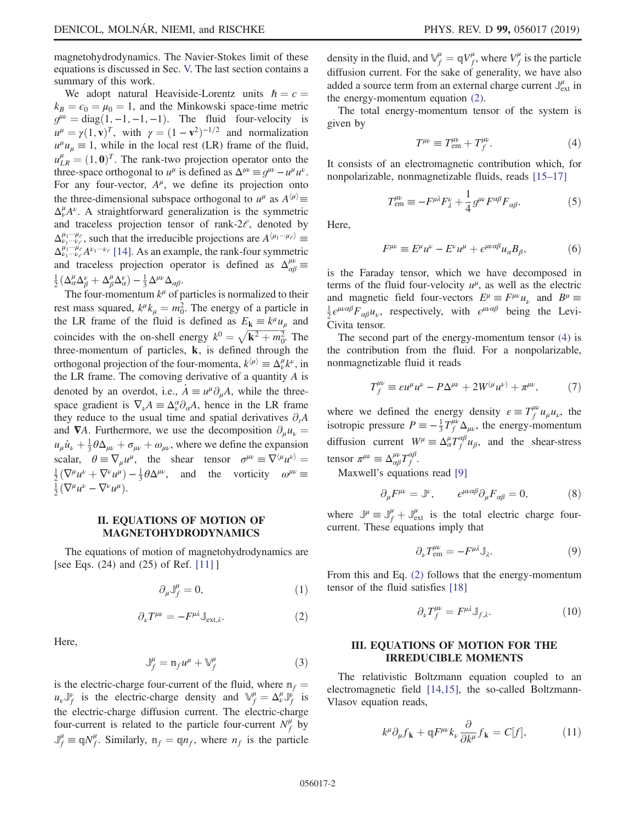magnetohydrodynamics. The Navier-Stokes limit of these equations is discussed in Sec. [V.](#page-6-0) The last section contains a summary of this work.

We adopt natural Heaviside-Lorentz units  $\hbar = c$  =  $k_B = \epsilon_0 = \mu_0 = 1$ , and the Minkowski space-time metric  $g^{\mu\nu} = \text{diag}(1,-1,-1,-1)$ . The fluid four-velocity is  $u^{\mu} = \gamma(1, \mathbf{v})^T$ , with  $\gamma = (1 - \mathbf{v}^2)^{-1/2}$  and normalization  $u^{\mu}u_{\mu} \equiv 1$ , while in the local rest (LR) frame of the fluid,  $u_{LR}^{\mu} = (1, 0)^T$ . The rank-two projection operator onto the three-space orthogonal to  $u^{\mu}$  is defined as  $\Delta^{\mu\nu} \equiv g^{\mu\nu} - u^{\mu} u^{\nu}$ . For any four-vector,  $A^{\mu}$ , we define its projection onto the three-dimensional subspace orthogonal to  $u^{\mu}$  as  $A^{\langle \mu \rangle}$   $\equiv$  $\Delta_{\nu}^{\mu}A^{\nu}$ . A straightforward generalization is the symmetric and traceless projection tensor of rank- $2\ell$ , denoted by  $\Delta_{\nu_1\cdots\nu_\ell}^{\mu_1\cdots\mu_\ell}$ , such that the irreducible projections are  $A^{\langle\mu_1\cdots\mu_\ell\rangle} \equiv$  $\Delta_{\nu_1\cdots\nu_{\ell}}^{\mu_1\cdots\mu_{\ell}}$   $A^{\nu_1\cdots\nu_{\ell}}$  [\[14\]](#page-10-7). As an example, the rank-four symmetric and traceless projection operator is defined as  $\Delta_{\alpha\beta}^{\mu\nu}$  =  $\frac{1}{2}(\Delta^\mu_\alpha \Delta^\nu_\beta + \Delta^\mu_\beta \Delta^\nu_\alpha) - \frac{1}{3} \Delta^{\mu\nu} \Delta_{\alpha\beta}.$ 

The four-momentum  $k^{\mu}$  of particles is normalized to their rest mass squared,  $k^{\mu}k_{\mu} = m_0^2$ . The energy of a particle in the LR frame of the fluid is defined as  $E_k \equiv k^{\mu} u_{\mu}$  and coincides with the on-shell energy  $k^0 = \sqrt{\mathbf{k}^2 + m_0^2}$ . The three-momentum of particles,  $k$ , is defined through the orthogonal projection of the four-momenta,  $k^{\langle \mu \rangle} \equiv \Delta^{\mu}_{\nu} k^{\nu}$ , in the LR frame. The comoving derivative of a quantity  $A$  is denoted by an overdot, i.e.,  $A \equiv u^{\mu} \partial_{\mu} A$ , while the threespace gradient is  $\nabla_{\nu} A = \Delta_{\nu}^{\alpha} \partial_{\alpha} A$ , hence in the LR frame they reduce to the usual time and spatial derivatives  $\partial_t A$ and  $\nabla A$ . Furthermore, we use the decomposition  $\partial_{\mu}u_{\nu} =$  $u_\mu \dot{u}_\nu + \frac{1}{3} \theta \Delta_{\mu\nu} + \sigma_{\mu\nu} + \omega_{\mu\nu}$ , where we define the expansion scalar,  $\theta \equiv \nabla_{\mu} u^{\mu}$ , the shear tensor  $\sigma^{\mu\nu} \equiv \nabla^{\langle \mu} u^{\nu \rangle} =$  $\frac{1}{2}(\nabla^{\mu}u^{\nu} + \nabla^{\nu}u^{\mu}) - \frac{1}{3}\theta\Delta^{\mu\nu}$ , and the vorticity  $\omega^{\mu\nu} \equiv \frac{1}{2}(\nabla^{\mu}u^{\nu} - \nabla^{\nu}u^{\mu})$  $\frac{1}{2}(\nabla^{\mu}u^{\nu}-\nabla^{\nu}u^{\mu}).$ 

## <span id="page-2-0"></span>II. EQUATIONS OF MOTION OF MAGNETOHYDRODYNAMICS

<span id="page-2-5"></span><span id="page-2-2"></span>The equations of motion of magnetohydrodynamics are [see Eqs. (24) and (25) of Ref. [\[11\]](#page-10-5) ]

$$
\partial_{\mu} \mathbb{J}_{f}^{\mu} = 0, \tag{1}
$$

$$
\partial_{\nu}T^{\mu\nu} = -F^{\mu\lambda}\mathbb{J}_{\text{ext},\lambda}.\tag{2}
$$

<span id="page-2-7"></span>Here,

$$
\mathbb{J}_f^{\mu} = \mathfrak{n}_f u^{\mu} + \mathbb{V}_f^{\mu} \tag{3}
$$

is the electric-charge four-current of the fluid, where  $m_f =$  $u_{\nu}J_{f}^{\nu}$  is the electric-charge density and  $\mathbb{V}_{f}^{\mu} = \Delta_{\nu}^{\mu}J_{f}^{\nu}$  is the electric-charge diffusion current. The electric-charge four-current is related to the particle four-current  $N_f^{\mu}$  by  $\mathbb{J}_f^{\mu} \equiv \mathbb{q}N_f^{\mu}$ . Similarly,  $\mathbb{n}_f = \mathbb{q}n_f$ , where  $n_f$  is the particle

density in the fluid, and  $\mathbb{V}_f^{\mu} = \mathbb{q} V_f^{\mu}$ , where  $V_f^{\mu}$  is the particle diffusion current. For the sake of generality, we have also added a source term from an external charge current  $\mathbb{J}_{ext}^{\mu}$  in the energy-momentum equation [\(2\)](#page-2-2).

<span id="page-2-3"></span>The total energy-momentum tensor of the system is given by

$$
T^{\mu\nu} \equiv T^{\mu\nu}_{em} + T^{\mu\nu}_{f}.
$$
\n(4)

It consists of an electromagnetic contribution which, for nonpolarizable, nonmagnetizable fluids, reads [15–[17\]](#page-11-0)

$$
T^{\mu\nu}_{\text{em}} \equiv -F^{\mu\lambda}F^{\nu}_{\lambda} + \frac{1}{4}g^{\mu\nu}F^{\alpha\beta}F_{\alpha\beta}.
$$
 (5)

Here,

$$
F^{\mu\nu} \equiv E^{\mu}u^{\nu} - E^{\nu}u^{\mu} + \epsilon^{\mu\nu\alpha\beta}u_{\alpha}B_{\beta}, \tag{6}
$$

is the Faraday tensor, which we have decomposed in terms of the fluid four-velocity  $u^{\mu}$ , as well as the electric and magnetic field four-vectors  $E^{\mu} \equiv F^{\mu\nu} u_{\nu}$  and  $B^{\mu} \equiv$  $\frac{1}{2} \epsilon^{\mu\nu\alpha\beta} F_{\alpha\beta} u_{\nu}$ , respectively, with  $\epsilon^{\mu\nu\alpha\beta}$  being the Levi-Civita tensor.

<span id="page-2-8"></span>The second part of the energy-momentum tensor [\(4\)](#page-2-3) is the contribution from the fluid. For a nonpolarizable, nonmagnetizable fluid it reads

$$
T_f^{\mu\nu} \equiv \varepsilon u^{\mu} u^{\nu} - P \Delta^{\mu\nu} + 2W^{(\mu} u^{\nu)} + \pi^{\mu\nu}, \tag{7}
$$

where we defined the energy density  $\varepsilon \equiv T_f^{\mu\nu} u_\mu u_\nu$ , the isotropic pressure  $P = -\frac{1}{3}T_f^{\mu\nu}\Delta_{\mu\nu}$ , the energy-momentum diffusion current  $W^{\mu} \equiv \Delta^{\mu}_{\alpha} T^{\alpha \beta}_{f} u_{\beta}$ , and the shear-stress tensor  $\pi^{\mu\nu} \equiv \Delta^{\mu\nu}_{\alpha\beta} T^{\alpha\beta}_{f}$ .

Maxwell's equations read [\[9\]](#page-10-4)

$$
\partial_{\mu}F^{\mu\nu} = J^{\nu}, \qquad \epsilon^{\mu\nu\alpha\beta}\partial_{\mu}F_{\alpha\beta} = 0, \tag{8}
$$

where  $J^{\mu} \equiv J^{\mu}_f + J^{\mu}_{ext}$  is the total electric charge fourcurrent. These equations imply that

$$
\partial_{\nu} T_{\rm em}^{\mu\nu} = -F^{\mu\lambda} \mathbb{J}_{\lambda}.
$$

<span id="page-2-6"></span>From this and Eq. [\(2\)](#page-2-2) follows that the energy-momentum tensor of the fluid satisfies [\[18\]](#page-11-1)

$$
\partial_{\nu}T_{f}^{\mu\nu} = F^{\mu\lambda}\mathbb{J}_{f,\lambda}.\tag{10}
$$

#### <span id="page-2-1"></span>III. EQUATIONS OF MOTION FOR THE IRREDUCIBLE MOMENTS

<span id="page-2-4"></span>The relativistic Boltzmann equation coupled to an electromagnetic field [\[14,15\]](#page-10-7), the so-called Boltzmann-Vlasov equation reads,

$$
k^{\mu}\partial_{\mu}f_{\mathbf{k}} + \mathbf{q}F^{\mu\nu}k_{\nu}\frac{\partial}{\partial k^{\mu}}f_{\mathbf{k}} = C[f],\tag{11}
$$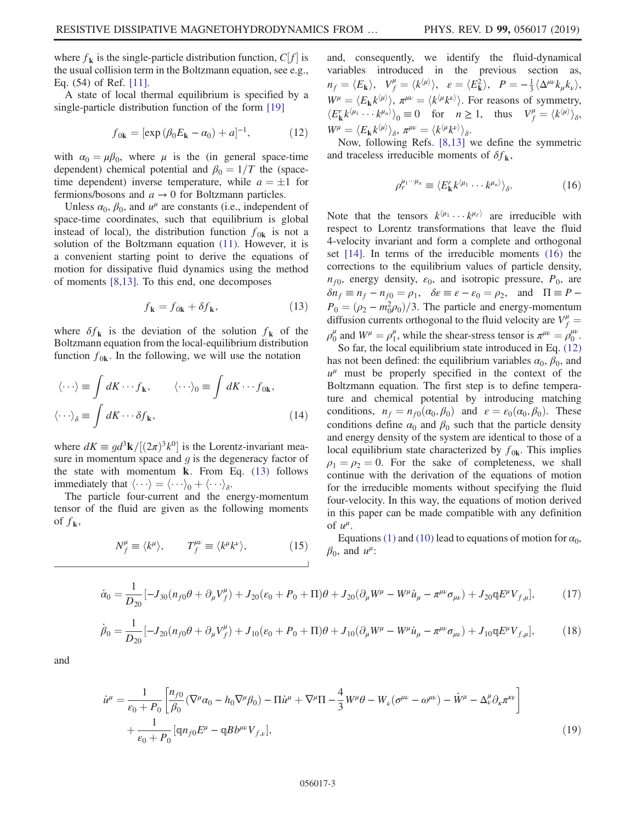where  $f_k$  is the single-particle distribution function,  $C[f]$  is the usual collision term in the Boltzmann equation, see e.g., Eq. (54) of Ref. [\[11\].](#page-10-5)

<span id="page-3-2"></span>A state of local thermal equilibrium is specified by a single-particle distribution function of the form [\[19\]](#page-11-2)

$$
f_{0k} = [\exp(\beta_0 E_{k} - \alpha_0) + a]^{-1}, \tag{12}
$$

with  $\alpha_0 = \mu \beta_0$ , where  $\mu$  is the (in general space-time dependent) chemical potential and  $\beta_0 = 1/T$  the (spacetime dependent) inverse temperature, while  $a = \pm 1$  for fermions/bosons and  $a \to 0$  for Boltzmann particles.

Unless  $\alpha_0$ ,  $\beta_0$ , and  $u^{\mu}$  are constants (i.e., independent of space-time coordinates, such that equilibrium is global instead of local), the distribution function  $f_{0k}$  is not a solution of the Boltzmann equation [\(11\)](#page-2-4). However, it is a convenient starting point to derive the equations of motion for dissipative fluid dynamics using the method of moments [\[8,13\]](#page-10-6). To this end, one decomposes

$$
f_{\mathbf{k}} = f_{0\mathbf{k}} + \delta f_{\mathbf{k}},\tag{13}
$$

<span id="page-3-0"></span>where  $\delta f_{\mathbf{k}}$  is the deviation of the solution  $f_{\mathbf{k}}$  of the Boltzmann equation from the local-equilibrium distribution function  $f_{0k}$ . In the following, we will use the notation

$$
\langle \cdots \rangle \equiv \int dK \cdots f_{\mathbf{k}}, \qquad \langle \cdots \rangle_0 \equiv \int dK \cdots f_{0\mathbf{k}},
$$
  

$$
\langle \cdots \rangle_{\delta} \equiv \int dK \cdots \delta f_{\mathbf{k}}, \qquad (14)
$$

where  $dK = gd^3\mathbf{k}/[(2\pi)^3k^0]$  is the Lorentz-invariant measure in momentum space and  $q$  is the degeneracy factor of the state with momentum k. From Eq. [\(13\)](#page-3-0) follows immediately that  $\langle \cdots \rangle = \langle \cdots \rangle_0 + \langle \cdots \rangle_{\delta}$ .

The particle four-current and the energy-momentum tensor of the fluid are given as the following moments of  $f_{\mathbf{k}}$ ,

$$
N_f^{\mu} \equiv \langle k^{\mu} \rangle, \qquad T_f^{\mu\nu} \equiv \langle k^{\mu} k^{\nu} \rangle, \tag{15}
$$

and, consequently, we identify the fluid-dynamical variables introduced in the previous section as,  $n_f = \langle E_{\mathbf{k}} \rangle, \quad V_f^{\mu} = \langle k^{\langle \mu \rangle} \rangle, \quad \varepsilon = \langle E_{\mathbf{k}}^2 \rangle, \quad P = -\frac{1}{3} \langle \Delta^{\mu \nu} k_{\mu} k_{\nu} \rangle,$  $W^{\mu} = \langle E_{\mathbf{k}} k^{\langle \mu \rangle} \rangle$ ,  $\pi^{\mu \nu} = \langle k^{\langle \mu} k^{\nu \rangle} \rangle$ . For reasons of symmetry,  $\langle E_{\mathbf{k}}^r k^{\langle \mu_1} \cdots k^{\mu_n \rangle} \rangle_0 \equiv 0$  for  $n \ge 1$ , thus  $V_f^{\mu} = \langle k^{\langle \mu \rangle} \rangle_{\delta}$ ,  $W^{\mu} = \langle E_{\mathbf{k}} k^{\langle \mu \rangle} \rangle_{\delta}, \, \pi^{\mu\nu} = \langle k^{\langle \mu} k^{\nu \rangle} \rangle_{\delta}.$ 

<span id="page-3-1"></span>Now, following Refs. [\[8,13\]](#page-10-6) we define the symmetric and traceless irreducible moments of  $\delta f_{\mathbf{k}}$ ,

$$
\rho_r^{\mu_1\cdots\mu_n} \equiv \langle E_{\mathbf{k}}^r k^{\langle \mu_1} \cdots k^{\mu_n \rangle} \rangle_{\delta}.
$$
 (16)

Note that the tensors  $k^{(\mu_1} \cdots k^{\mu_\ell)}$  are irreducible with respect to Lorentz transformations that leave the fluid 4-velocity invariant and form a complete and orthogonal set [\[14\]](#page-10-7). In terms of the irreducible moments [\(16\)](#page-3-1) the corrections to the equilibrium values of particle density,  $n_{f0}$ , energy density,  $\varepsilon_0$ , and isotropic pressure,  $P_0$ , are  $\delta n_f \equiv n_f - n_{f0} = \rho_1$ ,  $\delta \varepsilon \equiv \varepsilon - \varepsilon_0 = \rho_2$ , and  $\Pi \equiv P - \frac{\varepsilon_0}{\varepsilon_0}$  $P_0 = (\rho_2 - m_0^2 \rho_0)/3$ . The particle and energy-momentum diffusion currents orthogonal to the fluid velocity are  $V_f^{\mu}$  =  $\rho_0^{\mu}$  and  $W^{\mu} = \rho_1^{\mu}$ , while the shear-stress tensor is  $\pi^{\mu\nu} = \rho_0^{\mu\nu}$ .

So far, the local equilibrium state introduced in Eq. [\(12\)](#page-3-2) has not been defined: the equilibrium variables  $\alpha_0$ ,  $\beta_0$ , and  $u^{\mu}$  must be properly specified in the context of the Boltzmann equation. The first step is to define temperature and chemical potential by introducing matching conditions,  $n_f = n_{f0}(\alpha_0, \beta_0)$  and  $\varepsilon = \varepsilon_0(\alpha_0, \beta_0)$ . These conditions define  $\alpha_0$  and  $\beta_0$  such that the particle density and energy density of the system are identical to those of a local equilibrium state characterized by  $f_{0k}$ . This implies  $\rho_1 = \rho_2 = 0$ . For the sake of completeness, we shall continue with the derivation of the equations of motion for the irreducible moments without specifying the fluid four-velocity. In this way, the equations of motion derived in this paper can be made compatible with any definition of  $u^{\mu}$ .

Equations [\(1\)](#page-2-5) and [\(10\)](#page-2-6) lead to equations of motion for  $\alpha_0$ ,  $\beta_0$ , and  $u^{\mu}$ :

<span id="page-3-3"></span>
$$
\dot{\alpha}_0 = \frac{1}{D_{20}} \left[ -J_{30} (n_{f0} \theta + \partial_\mu V_f^\mu) + J_{20} (\varepsilon_0 + P_0 + \Pi) \theta + J_{20} (\partial_\mu W^\mu - W^\mu \dot{u}_\mu - \pi^{\mu\nu} \sigma_{\mu\nu}) + J_{20} \mathbb{q} E^\mu V_{f,\mu} \right],\tag{17}
$$

$$
\dot{\beta}_0 = \frac{1}{D_{20}} \left[ -J_{20} (n_{f0}\theta + \partial_\mu V_f^{\mu}) + J_{10} (\varepsilon_0 + P_0 + \Pi)\theta + J_{10} (\partial_\mu W^{\mu} - W^{\mu} \dot{u}_{\mu} - \pi^{\mu\nu} \sigma_{\mu\nu}) + J_{10} \mathfrak{q} E^{\mu} V_{f,\mu} \right],
$$
(18)

<span id="page-3-4"></span>and

$$
\dot{u}^{\mu} = \frac{1}{\varepsilon_{0} + P_{0}} \left[ \frac{n_{f0}}{\beta_{0}} (\nabla^{\mu} \alpha_{0} - h_{0} \nabla^{\mu} \beta_{0}) - \Pi \dot{u}^{\mu} + \nabla^{\mu} \Pi - \frac{4}{3} W^{\mu} \theta - W_{\nu} (\sigma^{\mu \nu} - \omega^{\mu \nu}) - \dot{W}^{\mu} - \Delta^{\mu}_{\nu} \partial_{\kappa} \pi^{\kappa \nu} \right] + \frac{1}{\varepsilon_{0} + P_{0}} \left[ \mathfrak{q} n_{f0} E^{\mu} - \mathfrak{q} B b^{\mu \nu} V_{f, \nu} \right],
$$
\n(19)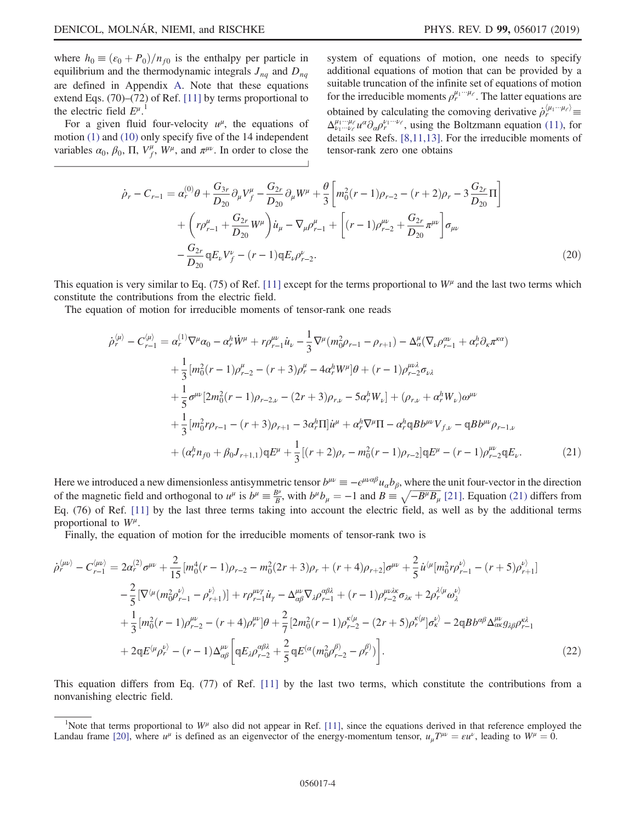where  $h_0 \equiv (\varepsilon_0 + P_0)/n_{f0}$  is the enthalpy per particle in equilibrium and the thermodynamic integrals  $J_{nq}$  and  $D_{nq}$ are defined in Appendix [A.](#page-7-0) Note that these equations extend Eqs. (70)–(72) of Ref. [\[11\]](#page-10-5) by terms proportional to the electric field  $E^{\mu}$ .<sup>1</sup>

<span id="page-4-1"></span>For a given fluid four-velocity  $u^{\mu}$ , the equations of motion [\(1\)](#page-2-5) and [\(10\)](#page-2-6) only specify five of the 14 independent variables  $\alpha_0$ ,  $\beta_0$ ,  $\Pi$ ,  $V_f^{\mu}$ ,  $W^{\mu}$ , and  $\pi^{\mu\nu}$ . In order to close the system of equations of motion, one needs to specify additional equations of motion that can be provided by a suitable truncation of the infinite set of equations of motion for the irreducible moments  $\rho_r^{\mu_1 \cdots \mu_\ell}$ . The latter equations are obtained by calculating the comoving derivative  $\dot{\rho}_r^{\langle \mu_1 \cdots \mu_\ell \rangle}$  $\Delta_{\nu_1\cdots\nu_\ell}^{\mu_1\cdots\mu_\ell}u^{\alpha}\partial_{\alpha}\rho_r^{\nu_1\cdots\nu_\ell}$ , using the Boltzmann equation [\(11\)](#page-2-4), for details see Refs. [\[8,11,13\]](#page-10-6). For the irreducible moments of tensor-rank zero one obtains

$$
\dot{\rho}_r - C_{r-1} = \alpha_r^{(0)} \theta + \frac{G_{3r}}{D_{20}} \partial_\mu V_f^\mu - \frac{G_{2r}}{D_{20}} \partial_\mu W^\mu + \frac{\theta}{3} \left[ m_0^2 (r-1) \rho_{r-2} - (r+2) \rho_r - 3 \frac{G_{2r}}{D_{20}} \Pi \right] \n+ \left( r \rho_{r-1}^\mu + \frac{G_{2r}}{D_{20}} W^\mu \right) \dot{u}_\mu - \nabla_\mu \rho_{r-1}^\mu + \left[ (r-1) \rho_{r-2}^{\mu\nu} + \frac{G_{2r}}{D_{20}} \pi^{\mu\nu} \right] \sigma_{\mu\nu} \n- \frac{G_{2r}}{D_{20}} \mathfrak{q} E_\nu V_f^\nu - (r-1) \mathfrak{q} E_\nu \rho_{r-2}^\nu.
$$
\n(20)

This equation is very similar to Eq. (75) of Ref. [\[11\]](#page-10-5) except for the terms proportional to  $W^{\mu}$  and the last two terms which constitute the contributions from the electric field.

<span id="page-4-0"></span>The equation of motion for irreducible moments of tensor-rank one reads

$$
\dot{\rho}_{r}^{\langle\mu\rangle} - C_{r-1}^{\langle\mu\rangle} = \alpha_{r}^{(1)} \nabla^{\mu} \alpha_{0} - \alpha_{r}^{h} \dot{W}^{\mu} + r \rho_{r-1}^{\mu\nu} \dot{u}_{\nu} - \frac{1}{3} \nabla^{\mu} (m_{0}^{2} \rho_{r-1} - \rho_{r+1}) - \Delta^{\mu}_{\alpha} (\nabla_{\nu} \rho_{r-1}^{\alpha\nu} + \alpha_{r}^{h} \partial_{\kappa} \pi^{\kappa\alpha})
$$
\n
$$
+ \frac{1}{3} [m_{0}^{2}(r-1) \rho_{r-2}^{\mu} - (r+3) \rho_{r}^{\mu} - 4 \alpha_{r}^{h} W^{\mu}] \theta + (r-1) \rho_{r-2}^{\mu\nu\lambda} \sigma_{\nu\lambda}
$$
\n
$$
+ \frac{1}{5} \sigma^{\mu\nu} [2 m_{0}^{2}(r-1) \rho_{r-2,\nu} - (2r+3) \rho_{r,\nu} - 5 \alpha_{r}^{h} W_{\nu}] + (\rho_{r,\nu} + \alpha_{r}^{h} W_{\nu}) \omega^{\mu\nu}
$$
\n
$$
+ \frac{1}{3} [m_{0}^{2} r \rho_{r-1} - (r+3) \rho_{r+1} - 3 \alpha_{r}^{h} \Pi] \dot{u}^{\mu} + \alpha_{r}^{h} \nabla^{\mu} \Pi - \alpha_{r}^{h} \mathfrak{q} B b^{\mu\nu} V_{f,\nu} - \mathfrak{q} B b^{\mu\nu} \rho_{r-1,\nu}
$$
\n
$$
+ (\alpha_{r}^{h} n_{f0} + \beta_{0} J_{r+1,1}) \mathfrak{q} E^{\mu} + \frac{1}{3} [(r+2) \rho_{r} - m_{0}^{2}(r-1) \rho_{r-2}] \mathfrak{q} E^{\mu} - (r-1) \rho_{r-2}^{\mu} \mathfrak{q} E_{\nu}.
$$
\n(21)

Here we introduced a new dimensionless antisymmetric tensor  $b^{\mu\nu} \equiv -\epsilon^{\mu\nu\alpha\beta}u_\alpha b_\beta$ , where the unit four-vector in the direction of the magnetic field and orthogonal to  $u^{\mu}$  is  $b^{\mu} \equiv \frac{B^{\mu}}{B}$ , with  $b^{\mu}b_{\mu} = -1$  and  $B \equiv \sqrt{-B^{\mu}B_{\mu}}$  [\[21\].](#page-11-3) Equation [\(21\)](#page-4-0) differs from Eq. (76) of Ref. [\[11\]](#page-10-5) by the last three terms taking into account the electric field, as well as by the additional terms proportional to  $W^{\mu}$ .

<span id="page-4-2"></span>Finally, the equation of motion for the irreducible moments of tensor-rank two is

$$
\dot{\rho}_{r}^{\langle\mu\nu\rangle} - C_{r-1}^{\langle\mu\rho\rangle} = 2\alpha_{r}^{(2)}\sigma^{\mu\nu} + \frac{2}{15} [m_{0}^{4}(r-1)\rho_{r-2} - m_{0}^{2}(2r+3)\rho_{r} + (r+4)\rho_{r+2}] \sigma^{\mu\nu} + \frac{2}{5} \dot{u}^{\langle\mu} [m_{0}^{2}r\rho_{r-1}^{\nu\rangle} - (r+5)\rho_{r+1}^{\nu\rangle}] \n- \frac{2}{5} [\nabla^{\langle\mu} (m_{0}^{2}\rho_{r-1}^{\nu\rangle} - \rho_{r+1}^{\nu})] + r\rho_{r-1}^{\mu\nu\gamma} \dot{u}_{\gamma} - \Delta_{\alpha\beta}^{\mu\nu} \nabla_{\lambda}\rho_{r-1}^{\alpha\beta\lambda} + (r-1)\rho_{r-2}^{\mu\nu\lambda\sigma} \sigma_{\lambda\kappa} + 2\rho_{r}^{\lambda\langle\mu} \omega_{\lambda}^{\nu\rangle} \n+ \frac{1}{3} [m_{0}^{2}(r-1)\rho_{r-2}^{\mu\nu} - (r+4)\rho_{r}^{\mu\nu}] \theta + \frac{2}{7} [2m_{0}^{2}(r-1)\rho_{r-2}^{\kappa\langle\mu} - (2r+5)\rho_{r}^{\kappa\langle\mu}]\sigma_{\kappa}^{\nu\rangle} - 2qBb^{\alpha\beta}\Delta_{\alpha\kappa}^{\mu\nu} g_{\lambda\beta}\rho_{r-1}^{\kappa\lambda} \n+ 2qE^{\langle\mu} \rho_{r}^{\nu\rangle} - (r-1)\Delta_{\alpha\beta}^{\mu\nu} \left[ qE_{\lambda}\rho_{r-2}^{\alpha\beta\lambda} + \frac{2}{5} qE^{\langle\alpha} (m_{0}^{2}\rho_{r-2}^{\beta)} - \rho_{r}^{\beta\rangle} \right].
$$
\n(22)

This equation differs from Eq. (77) of Ref. [\[11\]](#page-10-5) by the last two terms, which constitute the contributions from a nonvanishing electric field.

Note that terms proportional to  $W^{\mu}$  also did not appear in Ref. [\[11\]](#page-10-5), since the equations derived in that reference employed the Landau frame [\[20\]](#page-11-4), where  $u^{\mu}$  is defined as an eigenvector of the energy-momentum tensor,  $u_{\mu}T^{\mu\nu} = \varepsilon u^{\nu}$ , leading to  $W^{\mu} = 0$ .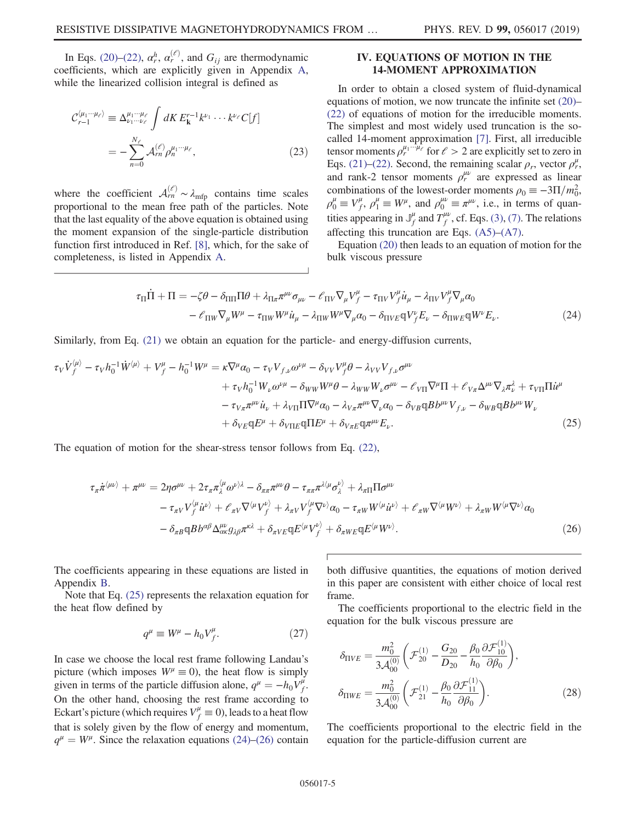In Eqs. [\(20\)](#page-4-1)–[\(22\),](#page-4-2)  $\alpha_r^h$ ,  $\alpha_r^{(\ell)}$ , and  $G_{ij}$  are thermodynamic coefficients, which are explicitly given in Appendix [A](#page-7-0), while the linearized collision integral is defined as

$$
\mathcal{C}_{r-1}^{\langle \mu_1 \cdots \mu_\ell \rangle} \equiv \Delta_{\nu_1 \cdots \nu_\ell}^{\mu_1 \cdots \mu_\ell} \int dK E_{\mathbf{k}}^{r-1} k^{\nu_1} \cdots k^{\nu_\ell} C[f]
$$

$$
= -\sum_{n=0}^{N_\ell} \mathcal{A}_{rn}^{(\ell)} \rho_n^{\mu_1 \cdots \mu_\ell}, \tag{23}
$$

<span id="page-5-2"></span>where the coefficient  $\mathcal{A}_{rn}^{(\ell)} \sim \lambda_{mfp}$  contains time scales proportional to the mean free path of the particles. Note that the last equality of the above equation is obtained using the moment expansion of the single-particle distribution function first introduced in Ref. [\[8\],](#page-10-6) which, for the sake of completeness, is listed in Appendix [A.](#page-7-0)

## <span id="page-5-0"></span>IV. EQUATIONS OF MOTION IN THE 14-MOMENT APPROXIMATION

In order to obtain a closed system of fluid-dynamical equations of motion, we now truncate the infinite set [\(20\)](#page-4-1)– [\(22\)](#page-4-2) of equations of motion for the irreducible moments. The simplest and most widely used truncation is the socalled 14-moment approximation [\[7\].](#page-10-3) First, all irreducible tensor moments  $\rho_r^{\mu_1 \cdots \mu_\ell}$  for  $\ell > 2$  are explicitly set to zero in Eqs. [\(21\)](#page-4-0)–[\(22\).](#page-4-2) Second, the remaining scalar  $\rho_r$ , vector  $\rho_r^{\mu}$ , and rank-2 tensor moments  $\rho_r^{\mu\nu}$  are expressed as linear combinations of the lowest-order moments  $\rho_0 \equiv -3\Pi/m_0^2$ ,  $\rho_0^{\mu} \equiv V_f^{\mu}, \rho_1^{\mu} \equiv W^{\mu}$ , and  $\rho_0^{\mu\nu} \equiv \pi^{\mu\nu}$ , i.e., in terms of quantities appearing in  $\mathbb{J}_f^{\mu}$  and  $T_f^{\mu\nu}$ , cf. Eqs. [\(3\),](#page-2-7) [\(7\)](#page-2-8). The relations affecting this truncation are Eqs. [\(A5\)](#page-8-0)–[\(A7\).](#page-8-1)

Equation [\(20\)](#page-4-1) then leads to an equation of motion for the bulk viscous pressure

$$
\tau_{\Pi}\dot{\Pi} + \Pi = -\zeta\theta - \delta_{\Pi\Pi}\Pi\theta + \lambda_{\Pi\pi}\pi^{\mu\nu}\sigma_{\mu\nu} - \mathcal{E}_{\Pi V}\nabla_{\mu}V_{f}^{\mu} - \tau_{\Pi V}V_{f}^{\mu}\dot{u}_{\mu} - \lambda_{\Pi V}V_{f}^{\mu}\nabla_{\mu}\alpha_{0} \n- \mathcal{E}_{\Pi W}\nabla_{\mu}W^{\mu} - \tau_{\Pi W}W^{\mu}\dot{u}_{\mu} - \lambda_{\Pi W}W^{\mu}\nabla_{\mu}\alpha_{0} - \delta_{\Pi V E}\mathbb{q}V_{f}^{\nu}E_{\nu} - \delta_{\Pi W E}\mathbb{q}W^{\nu}E_{\nu}.
$$
\n(24)

<span id="page-5-1"></span>Similarly, from Eq. [\(21\)](#page-4-0) we obtain an equation for the particle- and energy-diffusion currents,

$$
\tau_V \dot{V}_f^{\langle \mu \rangle} - \tau_V h_0^{-1} \dot{W}^{\langle \mu \rangle} + V_f^{\mu} - h_0^{-1} W^{\mu} = \kappa \nabla^{\mu} \alpha_0 - \tau_V V_{f,\nu} \omega^{\nu \mu} - \delta_{VV} V_f^{\mu} \theta - \lambda_{VV} V_{f,\nu} \sigma^{\mu \nu} \n+ \tau_V h_0^{-1} W_{\nu} \omega^{\nu \mu} - \delta_{WW} W^{\mu} \theta - \lambda_{WW} W_{\nu} \sigma^{\mu \nu} - \ell_{V \Pi} \nabla^{\mu} \Pi + \ell_{V \pi} \Delta^{\mu \nu} \nabla_{\lambda} \pi_{\nu}^{\lambda} + \tau_{V \Pi} \Pi \dot{u}^{\mu} \n- \tau_{V \pi} \pi^{\mu \nu} \dot{u}_{\nu} + \lambda_{V \Pi} \Pi \nabla^{\mu} \alpha_0 - \lambda_{V \pi} \pi^{\mu \nu} \nabla_{\nu} \alpha_0 - \delta_{V B} \mathfrak{q} B b^{\mu \nu} V_{f,\nu} - \delta_{W B} \mathfrak{q} B b^{\mu \nu} W_{\nu} \n+ \delta_{V E} \mathfrak{q} E^{\mu} + \delta_{V \Pi E} \mathfrak{q} \Pi E^{\mu} + \delta_{V \pi E} \mathfrak{q} \pi^{\mu \nu} E_{\nu}.
$$
\n(25)

<span id="page-5-3"></span>The equation of motion for the shear-stress tensor follows from Eq. [\(22\),](#page-4-2)

$$
\tau_{\pi}\dot{\pi}^{\langle\mu\nu\rangle} + \pi^{\mu\nu} = 2\eta\sigma^{\mu\nu} + 2\tau_{\pi}\pi_{\lambda}^{\langle\mu}\omega^{\nu\rangle\lambda} - \delta_{\pi\pi}\pi^{\mu\nu}\theta - \tau_{\pi\pi}\pi^{\lambda\langle\mu}\sigma_{\lambda}^{\nu\rangle} + \lambda_{\pi\Pi}\Pi\sigma^{\mu\nu} \n- \tau_{\pi V}V_{f}^{\langle\mu}\dot{u}^{\nu\rangle} + \mathcal{E}_{\pi V}\nabla^{\langle\mu}V_{f}^{\nu\rangle} + \lambda_{\pi V}V_{f}^{\langle\mu}\nabla^{\nu\rangle}\alpha_{0} - \tau_{\pi W}W^{\langle\mu}\dot{u}^{\nu\rangle} + \mathcal{E}_{\pi W}\nabla^{\langle\mu}W^{\nu\rangle} + \lambda_{\pi W}W^{\langle\mu}\nabla^{\nu\rangle}\alpha_{0} \n- \delta_{\pi B}\mathbb{q}Bb^{\alpha\beta}\Delta_{\alpha\kappa}^{\mu\nu}g_{\lambda\beta}\pi^{\kappa\lambda} + \delta_{\pi V E}\mathbb{q}E^{\langle\mu}V_{f}^{\nu\rangle} + \delta_{\pi W E}\mathbb{q}E^{\langle\mu}W^{\nu\rangle}.
$$
\n(26)

The coefficients appearing in these equations are listed in Appendix [B.](#page-9-0)

Note that Eq. [\(25\)](#page-5-1) represents the relaxation equation for the heat flow defined by

$$
q^{\mu} \equiv W^{\mu} - h_0 V_f^{\mu}.
$$
 (27)

In case we choose the local rest frame following Landau's picture (which imposes  $W^{\mu} \equiv 0$ ), the heat flow is simply given in terms of the particle diffusion alone,  $q^{\mu} = -h_0 V_f^{\mu}$ . On the other hand, choosing the rest frame according to Eckart's picture (which requires  $V_f^{\mu} \equiv 0$ ), leads to a heat flow that is solely given by the flow of energy and momentum,  $q^{\mu} = W^{\mu}$ . Since the relaxation equations [\(24\)](#page-5-2)–[\(26\)](#page-5-3) contain both diffusive quantities, the equations of motion derived in this paper are consistent with either choice of local rest frame.

The coefficients proportional to the electric field in the equation for the bulk viscous pressure are

$$
\delta_{\Pi VE} = \frac{m_0^2}{3\mathcal{A}_{00}^{(0)}} \left( \mathcal{F}_{20}^{(1)} - \frac{G_{20}}{D_{20}} - \frac{\beta_0}{h_0} \frac{\partial \mathcal{F}_{10}^{(1)}}{\partial \beta_0} \right),
$$
  

$$
\delta_{\Pi WE} = \frac{m_0^2}{3\mathcal{A}_{00}^{(0)}} \left( \mathcal{F}_{21}^{(1)} - \frac{\beta_0}{h_0} \frac{\partial \mathcal{F}_{11}^{(1)}}{\partial \beta_0} \right).
$$
 (28)

The coefficients proportional to the electric field in the equation for the particle-diffusion current are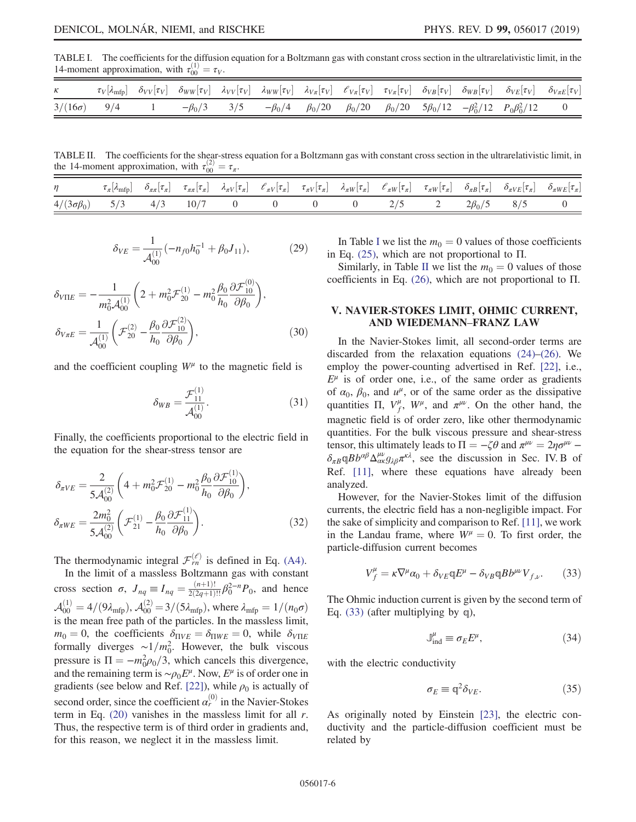<span id="page-6-1"></span>TABLE I. The coefficients for the diffusion equation for a Boltzmann gas with constant cross section in the ultrarelativistic limit, in the 14-moment approximation, with  $\tau_{00}^{(1)} = \tau_V$ .

|                    |  |  |  |  | $\tau_V[\lambda_{\rm mfp}] - \delta_{VV}[\tau_V] - \delta_{WW}[\tau_V] - \lambda_{VV}[\tau_V] - \lambda_{WW}[\tau_V] - \lambda_{V\pi}[\tau_V] - \mathcal{C}_{V\pi}[\tau_V] - \tau_{V\pi}[\tau_V] - \delta_{VB}[\tau_V] - \delta_{WB}[\tau_V] - \delta_{VE}[\tau_V] - \delta_{V\pi E}[\tau_V]$ |  |
|--------------------|--|--|--|--|-----------------------------------------------------------------------------------------------------------------------------------------------------------------------------------------------------------------------------------------------------------------------------------------------|--|
| $3/(16\sigma)$ 9/4 |  |  |  |  | $-\beta_0/3$ 3/5 $-\beta_0/4$ $\beta_0/20$ $\beta_0/20$ $\beta_0/20$ $5\beta_0/12$ $-\beta_0^2/12$ $P_0\beta_0^2/12$ 0                                                                                                                                                                        |  |

<span id="page-6-2"></span>TABLE II. The coefficients for the shear-stress equation for a Boltzmann gas with constant cross section in the ultrarelativistic limit, in the 14-moment approximation, with  $\tau_{00}^{(2)} = \tau_{\pi}$ .

| $\eta$                   |  |      |  |  |         |                  | $\tau_{\pi}[\lambda_{\text{mfp}}] \quad \delta_{\pi\pi}[\tau_{\pi}] \quad \tau_{\pi\pi}[\tau_{\pi}] \quad \lambda_{\pi V}[\tau_{\pi}] \quad \ell_{\pi V}[\tau_{\pi}] \quad \tau_{\pi V}[\tau_{\pi}] \quad \lambda_{\pi W}[\tau_{\pi}] \quad \ell_{\pi W}[\tau_{\pi}] \quad \tau_{\pi W}[\tau_{\pi}] \quad \delta_{\pi B}[\tau_{\pi}] \quad \delta_{\pi V E}[\tau_{\pi}] \quad \delta_{\pi W E}[\tau_{\pi}]$ |  |
|--------------------------|--|------|--|--|---------|------------------|-------------------------------------------------------------------------------------------------------------------------------------------------------------------------------------------------------------------------------------------------------------------------------------------------------------------------------------------------------------------------------------------------------------|--|
| $4/(3\sigma\beta_0)$ 5/3 |  | 10/7 |  |  | $2/5$ 2 | $2\beta_0/5$ 8/5 |                                                                                                                                                                                                                                                                                                                                                                                                             |  |

$$
\delta_{VE} = \frac{1}{\mathcal{A}_{00}^{(1)}} (-n_{f0}h_0^{-1} + \beta_0 J_{11}), \tag{29}
$$

$$
\delta_{V\Pi E} = -\frac{1}{m_0^2 \mathcal{A}_{00}^{(1)}} \left( 2 + m_0^2 \mathcal{F}_{20}^{(1)} - m_0^2 \frac{\beta_0}{h_0} \frac{\partial \mathcal{F}_{10}^{(0)}}{\partial \beta_0} \right),
$$
  
\n
$$
\delta_{V\pi E} = \frac{1}{\mathcal{A}_{00}^{(1)}} \left( \mathcal{F}_{20}^{(2)} - \frac{\beta_0}{h_0} \frac{\partial \mathcal{F}_{10}^{(2)}}{\partial \beta_0} \right),
$$
\n(30)

and the coefficient coupling  $W^{\mu}$  to the magnetic field is

$$
\delta_{WB} = \frac{\mathcal{F}_{11}^{(1)}}{\mathcal{A}_{00}^{(1)}}.
$$
 (31)

Finally, the coefficients proportional to the electric field in the equation for the shear-stress tensor are

$$
\delta_{\pi VE} = \frac{2}{5\mathcal{A}_{00}^{(2)}} \left( 4 + m_0^2 \mathcal{F}_{20}^{(1)} - m_0^2 \frac{\beta_0}{h_0} \frac{\partial \mathcal{F}_{10}^{(1)}}{\partial \beta_0} \right),
$$
  

$$
\delta_{\pi WE} = \frac{2m_0^2}{5\mathcal{A}_{00}^{(2)}} \left( \mathcal{F}_{21}^{(1)} - \frac{\beta_0}{h_0} \frac{\partial \mathcal{F}_{11}^{(1)}}{\partial \beta_0} \right).
$$
 (32)

The thermodynamic integral  $\mathcal{F}_{rn}^{(\ell)}$  is defined in Eq. [\(A4\).](#page-8-2)

In the limit of a massless Boltzmann gas with constant cross section  $\sigma$ ,  $J_{nq} \equiv I_{nq} = \frac{(n+1)!}{2(2q+1)!!} \beta_0^{2-n} P_0$ , and hence  $\mathcal{A}_{00}^{(1)} = 4/(9\lambda_{\text{mfp}}), \, \mathcal{A}_{00}^{(2)} = 3/(5\lambda_{\text{mfp}}), \, \text{where } \lambda_{\text{mfp}} = 1/(n_0\sigma)$ is the mean free path of the particles. In the massless limit,  $m_0 = 0$ , the coefficients  $\delta_{\Pi VE} = \delta_{\Pi WE} = 0$ , while  $\delta_{V\Pi E}$ formally diverges  $\sim 1/m_0^2$ . However, the bulk viscous pressure is  $\Pi = -m_0^2 \rho_0/3$ , which cancels this divergence, and the remaining term is  $\sim \rho_0 E^{\mu}$ . Now,  $E^{\mu}$  is of order one in gradients (see below and Ref. [\[22\]](#page-11-5)), while  $\rho_0$  is actually of second order, since the coefficient  $\alpha_r^{(0)}$  in the Navier-Stokes term in Eq.  $(20)$  vanishes in the massless limit for all r. Thus, the respective term is of third order in gradients and, for this reason, we neglect it in the massless limit.

[I](#page-6-1)n Table I we list the  $m_0 = 0$  values of those coefficients in Eq.  $(25)$ , which are not proportional to  $\Pi$ .

Similarly, in Table [II](#page-6-2) we list the  $m_0 = 0$  values of those coefficients in Eq.  $(26)$ , which are not proportional to  $\Pi$ .

#### <span id="page-6-0"></span>V. NAVIER-STOKES LIMIT, OHMIC CURRENT, AND WIEDEMANN–FRANZ LAW

In the Navier-Stokes limit, all second-order terms are discarded from the relaxation equations [\(24\)](#page-5-2)–[\(26\).](#page-5-3) We employ the power-counting advertised in Ref. [\[22\],](#page-11-5) i.e.,  $E^{\mu}$  is of order one, i.e., of the same order as gradients of  $\alpha_0$ ,  $\beta_0$ , and  $u^{\mu}$ , or of the same order as the dissipative quantities  $\Pi$ ,  $V_f^{\mu}$ ,  $W^{\mu}$ , and  $\pi^{\mu\nu}$ . On the other hand, the magnetic field is of order zero, like other thermodynamic quantities. For the bulk viscous pressure and shear-stress tensor, this ultimately leads to  $\Pi = -\zeta \theta$  and  $\pi^{\mu\nu} = 2\eta \sigma^{\mu\nu} - \zeta \theta$  $\delta_{\pi B} \mathbb{q} B b^{\alpha \beta} \Delta^{\mu \nu}_{\alpha \kappa} g_{\lambda \beta} \pi^{\kappa \lambda}$ , see the discussion in Sec. IV. B of Ref. [\[11\]](#page-10-5), where these equations have already been analyzed.

<span id="page-6-3"></span>However, for the Navier-Stokes limit of the diffusion currents, the electric field has a non-negligible impact. For the sake of simplicity and comparison to Ref. [\[11\],](#page-10-5) we work in the Landau frame, where  $W^{\mu} = 0$ . To first order, the particle-diffusion current becomes

$$
V_f^{\mu} = \kappa \nabla^{\mu} \alpha_0 + \delta_{VE} \mathbb{q} E^{\mu} - \delta_{VB} \mathbb{q} B b^{\mu \nu} V_{f,\nu}.
$$
 (33)

<span id="page-6-5"></span>The Ohmic induction current is given by the second term of Eq. [\(33\)](#page-6-3) (after multiplying by q),

$$
\mathbb{J}_{\text{ind}}^{\mu} \equiv \sigma_E E^{\mu},\tag{34}
$$

with the electric conductivity

$$
\sigma_E \equiv \mathbb{q}^2 \delta_{VE}.\tag{35}
$$

<span id="page-6-4"></span>As originally noted by Einstein [\[23\]](#page-11-6), the electric conductivity and the particle-diffusion coefficient must be related by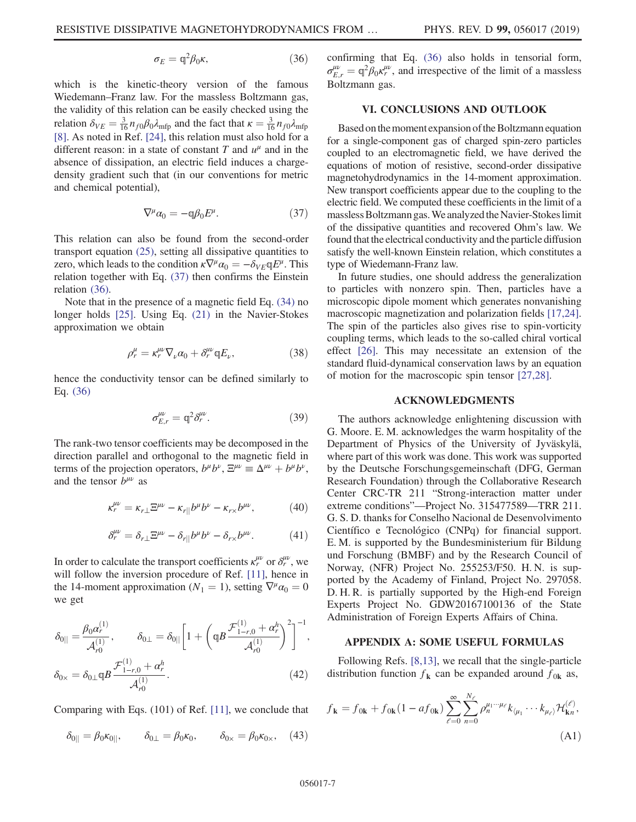$$
\sigma_E = \mathbb{q}^2 \beta_0 \kappa, \tag{36}
$$

which is the kinetic-theory version of the famous Wiedemann–Franz law. For the massless Boltzmann gas, the validity of this relation can be easily checked using the relation  $\delta_{VE} = \frac{3}{16} n_{f0} \beta_0 \lambda_{\text{mfp}}$  and the fact that  $\kappa = \frac{3}{16} n_{f0} \lambda_{\text{mfp}}$ [\[8\]](#page-10-6). As noted in Ref. [\[24\]](#page-11-7), this relation must also hold for a different reason: in a state of constant T and  $u^{\mu}$  and in the absence of dissipation, an electric field induces a chargedensity gradient such that (in our conventions for metric and chemical potential),

$$
\nabla^{\mu} \alpha_0 = -\mathbb{q} \beta_0 E^{\mu}.
$$
 (37)

<span id="page-7-1"></span>This relation can also be found from the second-order transport equation [\(25\)](#page-5-1), setting all dissipative quantities to zero, which leads to the condition  $\kappa \nabla^{\mu} \alpha_0 = -\delta_{VE} qE^{\mu}$ . This relation together with Eq. [\(37\)](#page-7-1) then confirms the Einstein relation [\(36\)](#page-6-4).

Note that in the presence of a magnetic field Eq. [\(34\)](#page-6-5) no longer holds [\[25\]](#page-11-8). Using Eq. [\(21\)](#page-4-0) in the Navier-Stokes approximation we obtain

$$
\rho_r^{\mu} = \kappa_r^{\mu\nu} \nabla_{\nu} \alpha_0 + \delta_r^{\mu\nu} \mathbb{q} E_{\nu},\tag{38}
$$

hence the conductivity tensor can be defined similarly to Eq. [\(36\)](#page-6-4)

$$
\sigma_{E,r}^{\mu\nu} = \mathbb{q}^2 \delta_r^{\mu\nu}.
$$
\n(39)

The rank-two tensor coefficients may be decomposed in the direction parallel and orthogonal to the magnetic field in terms of the projection operators,  $b^{\mu}b^{\nu}$ ,  $\Xi^{\mu\nu} \equiv \Delta^{\mu\nu} + b^{\mu}b^{\nu}$ , and the tensor  $b^{\mu\nu}$  as

$$
\kappa_r^{\mu\nu} = \kappa_{r\perp} \Xi^{\mu\nu} - \kappa_{r\parallel} b^\mu b^\nu - \kappa_{r\times} b^{\mu\nu},\tag{40}
$$

$$
\delta_r^{\mu\nu} = \delta_{r\perp} \Xi^{\mu\nu} - \delta_{r\parallel} b^{\mu} b^{\nu} - \delta_{r\times} b^{\mu\nu}.
$$
 (41)

In order to calculate the transport coefficients  $\kappa_r^{\mu\nu}$  or  $\delta_r^{\mu\nu}$ , we will follow the inversion procedure of Ref. [\[11\]](#page-10-5), hence in the 14-moment approximation ( $N_1 = 1$ ), setting  $\nabla^{\mu} \alpha_0 = 0$ we get

$$
\delta_{0||} = \frac{\beta_0 \alpha_r^{(1)}}{\mathcal{A}_{r0}^{(1)}}, \qquad \delta_{0\perp} = \delta_{0||} \left[ 1 + \left( q \beta \frac{\mathcal{F}_{1-r,0}^{(1)} + \alpha_r^h}{\mathcal{A}_{r0}^{(1)}} \right)^2 \right]^{-1},
$$
  

$$
\delta_{0\times} = \delta_{0\perp} q \beta \frac{\mathcal{F}_{1-r,0}^{(1)} + \alpha_r^h}{\mathcal{A}_{r0}^{(1)}}.
$$
 (42)

Comparing with Eqs. (101) of Ref. [\[11\],](#page-10-5) we conclude that

$$
\delta_{0||} = \beta_0 \kappa_{0||}, \qquad \delta_{0\perp} = \beta_0 \kappa_0, \qquad \delta_{0\times} = \beta_0 \kappa_{0\times}, \quad (43)
$$

confirming that Eq. [\(36\)](#page-6-4) also holds in tensorial form,  $\sigma_{E,r}^{\mu\nu} = \mathbb{q}^2 \bar{\beta}_0 \kappa_r^{\mu\nu}$ , and irrespective of the limit of a massless Boltzmann gas.

#### VI. CONCLUSIONS AND OUTLOOK

Based on the moment expansion of the Boltzmann equation for a single-component gas of charged spin-zero particles coupled to an electromagnetic field, we have derived the equations of motion of resistive, second-order dissipative magnetohydrodynamics in the 14-moment approximation. New transport coefficients appear due to the coupling to the electric field. We computed these coefficients in the limit of a massless Boltzmann gas. We analyzed the Navier-Stokes limit of the dissipative quantities and recovered Ohm's law. We found that the electrical conductivity and the particle diffusion satisfy the well-known Einstein relation, which constitutes a type of Wiedemann-Franz law.

In future studies, one should address the generalization to particles with nonzero spin. Then, particles have a microscopic dipole moment which generates nonvanishing macroscopic magnetization and polarization fields [\[17,24\]](#page-11-9). The spin of the particles also gives rise to spin-vorticity coupling terms, which leads to the so-called chiral vortical effect [\[26\].](#page-11-10) This may necessitate an extension of the standard fluid-dynamical conservation laws by an equation of motion for the macroscopic spin tensor [\[27,28\].](#page-11-11)

#### ACKNOWLEDGMENTS

The authors acknowledge enlightening discussion with G. Moore. E. M. acknowledges the warm hospitality of the Department of Physics of the University of Jyväskylä, where part of this work was done. This work was supported by the Deutsche Forschungsgemeinschaft (DFG, German Research Foundation) through the Collaborative Research Center CRC-TR 211 "Strong-interaction matter under extreme conditions"—Project No. 315477589—TRR 211. G. S. D. thanks for Conselho Nacional de Desenvolvimento Científico e Tecnológico (CNPq) for financial support. E. M. is supported by the Bundesministerium für Bildung und Forschung (BMBF) and by the Research Council of Norway, (NFR) Project No. 255253/F50. H. N. is supported by the Academy of Finland, Project No. 297058. D. H. R. is partially supported by the High-end Foreign Experts Project No. GDW20167100136 of the State Administration of Foreign Experts Affairs of China.

## <span id="page-7-0"></span>APPENDIX A: SOME USEFUL FORMULAS

Following Refs. [\[8,13\],](#page-10-6) we recall that the single-particle distribution function  $f_{\bf k}$  can be expanded around  $f_{0{\bf k}}$  as,

$$
f_{\mathbf{k}} = f_{0\mathbf{k}} + f_{0\mathbf{k}} (1 - af_{0\mathbf{k}}) \sum_{\ell=0}^{\infty} \sum_{n=0}^{N_{\ell}} \rho_n^{\mu_1 \cdots \mu_{\ell}} k_{\langle \mu_1} \cdots k_{\mu_{\ell} \rangle} \mathcal{H}_{\mathbf{k}n}^{(\ell)},
$$
\n(A1)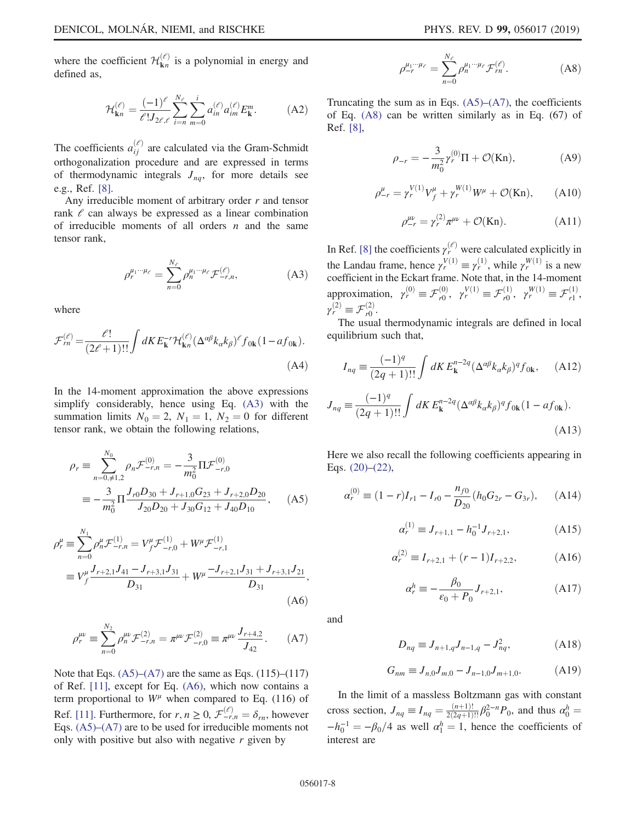where the coefficient  $\mathcal{H}^{(\ell)}_{\mathbf{k}n}$  is a polynomial in energy and defined as,

$$
\mathcal{H}_{\mathbf{k}n}^{(\ell)} = \frac{(-1)^{\ell}}{\ell! J_{2\ell,\ell}} \sum_{i=n}^{N_{\ell}} \sum_{m=0}^{i} a_{in}^{(\ell)} a_{im}^{(\ell)} E_{\mathbf{k}}^{m}.
$$
 (A2)

The coefficients  $a_{ij}^{(\ell)}$  are calculated via the Gram-Schmidt orthogonalization procedure and are expressed in terms of thermodynamic integrals  $J_{nq}$ , for more details see e.g., Ref. [\[8\].](#page-10-6)

<span id="page-8-3"></span>Any irreducible moment of arbitrary order  $r$  and tensor rank  $\ell$  can always be expressed as a linear combination of irreducible moments of all orders  $n$  and the same tensor rank,

$$
\rho_r^{\mu_1\cdots\mu_\ell} = \sum_{n=0}^{N_\ell} \rho_n^{\mu_1\cdots\mu_\ell} \mathcal{F}_{-r,n}^{(\ell)},\tag{A3}
$$

<span id="page-8-2"></span>where

$$
\mathcal{F}_{rn}^{(\ell)} = \frac{\ell!}{(2\ell+1)!!} \int dK E_{\mathbf{k}}^{-r} \mathcal{H}_{\mathbf{k}n}^{(\ell)} (\Delta^{\alpha\beta} k_{\alpha} k_{\beta})^{\ell} f_{0\mathbf{k}} (1 - af_{0\mathbf{k}}).
$$
\n(A4)

<span id="page-8-0"></span>In the 14-moment approximation the above expressions simplify considerably, hence using Eq. [\(A3\)](#page-8-3) with the summation limits  $N_0 = 2$ ,  $N_1 = 1$ ,  $N_2 = 0$  for different tensor rank, we obtain the following relations,

$$
\rho_r \equiv \sum_{n=0,\neq 1,2}^{N_0} \rho_n \mathcal{F}_{-r,n}^{(0)} = -\frac{3}{m_0^2} \Pi \mathcal{F}_{-r,0}^{(0)}
$$

$$
\equiv -\frac{3}{m_0^2} \Pi \frac{J_{r0} D_{30} + J_{r+1,0} G_{23} + J_{r+2,0} D_{20}}{J_{20} D_{20} + J_{30} G_{12} + J_{40} D_{10}}, \quad (A5)
$$

<span id="page-8-4"></span>
$$
\rho_r^{\mu} \equiv \sum_{n=0}^{N_1} \rho_n^{\mu} \mathcal{F}_{-r,n}^{(1)} = V_f^{\mu} \mathcal{F}_{-r,0}^{(1)} + W^{\mu} \mathcal{F}_{-r,1}^{(1)}
$$
  

$$
\equiv V_f^{\mu} \frac{J_{r+2,1} J_{41} - J_{r+3,1} J_{31}}{D_{31}} + W^{\mu} \frac{-J_{r+2,1} J_{31} + J_{r+3,1} J_{21}}{D_{31}},
$$
  
(A6)

<span id="page-8-1"></span>
$$
\rho_r^{\mu\nu} \equiv \sum_{n=0}^{N_2} \rho_n^{\mu\nu} \mathcal{F}_{-r,n}^{(2)} = \pi^{\mu\nu} \mathcal{F}_{-r,0}^{(2)} \equiv \pi^{\mu\nu} \frac{J_{r+4,2}}{J_{42}}.
$$
 (A7)

<span id="page-8-5"></span>Note that Eqs.  $(A5)$ – $(A7)$  are the same as Eqs.  $(115)$ – $(117)$ of Ref. [\[11\],](#page-10-5) except for Eq. [\(A6\),](#page-8-4) which now contains a term proportional to  $W^{\mu}$  when compared to Eq. (116) of Ref. [\[11\].](#page-10-5) Furthermore, for  $r, n \geq 0$ ,  $\mathcal{F}^{(\ell)}_{-r,n} = \delta_{rn}$ , however Eqs. [\(A5\)](#page-8-0)–[\(A7\)](#page-8-1) are to be used for irreducible moments not only with positive but also with negative  $r$  given by

$$
\rho_{-r}^{\mu_1\cdots\mu_\ell} = \sum_{n=0}^{N_\ell} \rho_n^{\mu_1\cdots\mu_\ell} \mathcal{F}_m^{(\ell)}.
$$
 (A8)

Truncating the sum as in Eqs.  $(A5)$ – $(A7)$ , the coefficients of Eq. [\(A8\)](#page-8-5) can be written similarly as in Eq. (67) of Ref. [\[8\]](#page-10-6),

$$
\rho_{-r} = -\frac{3}{m_0^2} \gamma_r^{(0)} \Pi + \mathcal{O}(\text{Kn}),\tag{A9}
$$

$$
\rho_{-r}^{\mu} = \gamma_r^{V(1)} V_f^{\mu} + \gamma_r^{W(1)} W^{\mu} + \mathcal{O}(\text{Kn}), \qquad (A10)
$$

$$
\rho_{-r}^{\mu\nu} = \gamma_r^{(2)} \pi^{\mu\nu} + \mathcal{O}(\text{Kn}). \tag{A11}
$$

In Ref. [\[8\]](#page-10-6) the coefficients  $\gamma_r^{(\ell)}$  were calculated explicitly in the Landau frame, hence  $\gamma_r^{V(1)} \equiv \gamma_r^{(1)}$ , while  $\gamma_r^{W(1)}$  is a new coefficient in the Eckart frame. Note that, in the 14-moment approximation,  $\gamma_r^{(0)} \equiv \mathcal{F}_{r0}^{(0)}$ ,  $\gamma_r^{V(1)} \equiv \mathcal{F}_{r0}^{(1)}$ ,  $\gamma_r^{W(1)} \equiv \mathcal{F}_{r1}^{(1)}$ ,  $\gamma_r^{(2)} \equiv \mathcal{F}_{r0}^{(2)}$ .

The usual thermodynamic integrals are defined in local equilibrium such that,

$$
I_{nq} \equiv \frac{(-1)^q}{(2q+1)!!} \int dK E_{\mathbf{k}}^{n-2q} (\Delta^{\alpha\beta} k_{\alpha} k_{\beta})^q f_{0\mathbf{k}}, \quad \text{(A12)}
$$

$$
J_{nq} \equiv \frac{(-1)^q}{(2q+1)!!} \int dK E_{\mathbf{k}}^{n-2q} (\Delta^{\alpha\beta} k_{\alpha} k_{\beta})^q f_{0\mathbf{k}} (1 - af_{0\mathbf{k}}).
$$
(A13)

Here we also recall the following coefficients appearing in Eqs. [\(20\)](#page-4-1)–[\(22\),](#page-4-2)

$$
\alpha_r^{(0)} \equiv (1 - r)I_{r1} - I_{r0} - \frac{n_{f0}}{D_{20}}(h_0 G_{2r} - G_{3r}), \quad (A14)
$$

$$
\alpha_r^{(1)} \equiv J_{r+1,1} - h_0^{-1} J_{r+2,1},\tag{A15}
$$

$$
\alpha_r^{(2)} \equiv I_{r+2,1} + (r-1)I_{r+2,2},\tag{A16}
$$

$$
\alpha_r^h \equiv -\frac{\beta_0}{\epsilon_0 + P_0} J_{r+2,1},
$$
 (A17)

and

$$
D_{nq} \equiv J_{n+1,q} J_{n-1,q} - J_{nq}^2, \tag{A18}
$$

$$
G_{nm} \equiv J_{n,0}J_{m,0} - J_{n-1,0}J_{m+1,0}.
$$
 (A19)

In the limit of a massless Boltzmann gas with constant cross section,  $J_{nq} \equiv I_{nq} = \frac{(n+1)!}{2(2q+1)!!} \beta_0^{2-n} P_0$ , and thus  $\alpha_0^h =$  $-h_0^{-1} = -\beta_0/4$  as well  $\alpha_1^h = 1$ , hence the coefficients of interest are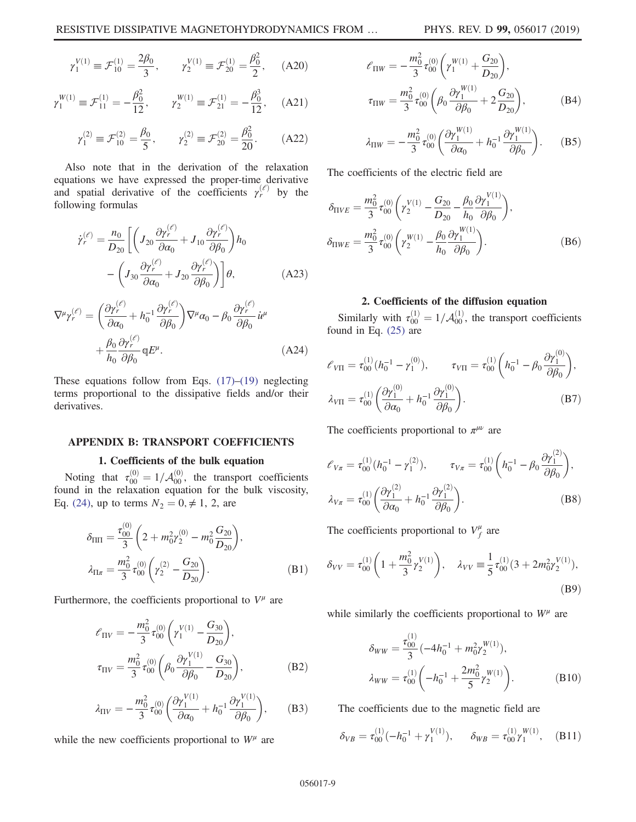$$
\gamma_1^{V(1)} \equiv \mathcal{F}_{10}^{(1)} = \frac{2\beta_0}{3}, \qquad \gamma_2^{V(1)} \equiv \mathcal{F}_{20}^{(1)} = \frac{\beta_0^2}{2}, \qquad (A20)
$$

$$
\gamma_1^{W(1)} \equiv \mathcal{F}_{11}^{(1)} = -\frac{\beta_0^2}{12}, \qquad \gamma_2^{W(1)} \equiv \mathcal{F}_{21}^{(1)} = -\frac{\beta_0^3}{12}, \quad \text{(A21)}
$$

$$
\gamma_1^{(2)} \equiv \mathcal{F}_{10}^{(2)} = \frac{\beta_0}{5}, \qquad \gamma_2^{(2)} \equiv \mathcal{F}_{20}^{(2)} = \frac{\beta_0^2}{20}.
$$
 (A22)

Also note that in the derivation of the relaxation equations we have expressed the proper-time derivative and spatial derivative of the coefficients  $\gamma_r^{(\ell)}$  by the following formulas

$$
\dot{\gamma}_r^{(\ell)} = \frac{n_0}{D_{20}} \left[ \left( J_{20} \frac{\partial \gamma_r^{(\ell)}}{\partial \alpha_0} + J_{10} \frac{\partial \gamma_r^{(\ell)}}{\partial \beta_0} \right) h_0 \right. \left. - \left( J_{30} \frac{\partial \gamma_r^{(\ell)}}{\partial \alpha_0} + J_{20} \frac{\partial \gamma_r^{(\ell)}}{\partial \beta_0} \right) \right] \theta, \tag{A23}
$$

$$
\nabla^{\mu}\gamma_{r}^{(\ell)} = \left(\frac{\partial\gamma_{r}^{(\ell)}}{\partial\alpha_{0}} + h_{0}^{-1}\frac{\partial\gamma_{r}^{(\ell)}}{\partial\beta_{0}}\right)\nabla^{\mu}\alpha_{0} - \beta_{0}\frac{\partial\gamma_{r}^{(\ell)}}{\partial\beta_{0}}i^{\mu} + \frac{\beta_{0}}{h_{0}}\frac{\partial\gamma_{r}^{(\ell)}}{\partial\beta_{0}}qE^{\mu}.
$$
\n(A24)

These equations follow from Eqs.  $(17)$ – $(19)$  neglecting terms proportional to the dissipative fields and/or their derivatives.

#### <span id="page-9-0"></span>APPENDIX B: TRANSPORT COEFFICIENTS

## 1. Coefficients of the bulk equation

Noting that  $\tau_{00}^{(0)} = 1/\mathcal{A}_{00}^{(0)}$ , the transport coefficients found in the relaxation equation for the bulk viscosity, Eq. [\(24\)](#page-5-2), up to terms  $N_2 = 0, \neq 1, 2$ , are

$$
\delta_{\text{III}} = \frac{\tau_{00}^{(0)}}{3} \left( 2 + m_0^2 \gamma_2^{(0)} - m_0^2 \frac{G_{20}}{D_{20}} \right),
$$
  

$$
\lambda_{\text{II}\pi} = \frac{m_0^2}{3} \tau_{00}^{(0)} \left( \gamma_2^{(2)} - \frac{G_{20}}{D_{20}} \right).
$$
 (B1)

Furthermore, the coefficients proportional to  $V^{\mu}$  are

$$
\ell_{\Pi V} = -\frac{m_0^2}{3} \tau_{00}^{(0)} \left( \gamma_1^{V(1)} - \frac{G_{30}}{D_{20}} \right),
$$
  

$$
\tau_{\Pi V} = \frac{m_0^2}{3} \tau_{00}^{(0)} \left( \beta_0 \frac{\partial \gamma_1^{V(1)}}{\partial \beta_0} - \frac{G_{30}}{D_{20}} \right),
$$
 (B2)

$$
\lambda_{\text{H}V} = -\frac{m_0^2}{3} \tau_{00}^{(0)} \left( \frac{\partial \gamma_1^{V(1)}}{\partial \alpha_0} + h_0^{-1} \frac{\partial \gamma_1^{V(1)}}{\partial \beta_0} \right), \tag{B3}
$$

while the new coefficients proportional to  $W^{\mu}$  are

$$
\ell_{\Pi W} = -\frac{m_0^2}{3} \tau_{00}^{(0)} \left( \gamma_1^{W(1)} + \frac{G_{20}}{D_{20}} \right),
$$
  

$$
\tau_{\Pi W} = \frac{m_0^2}{3} \tau_{00}^{(0)} \left( \beta_0 \frac{\partial \gamma_1^{W(1)}}{\partial \beta_0} + 2 \frac{G_{20}}{D_{20}} \right),
$$
 (B4)

$$
\lambda_{\Pi W} = -\frac{m_0^2}{3} \tau_{00}^{(0)} \left( \frac{\partial \gamma_1^{W(1)}}{\partial \alpha_0} + h_0^{-1} \frac{\partial \gamma_1^{W(1)}}{\partial \beta_0} \right). \tag{B5}
$$

The coefficients of the electric field are

$$
\delta_{\Pi VE} = \frac{m_0^2}{3} \tau_{00}^{(0)} \left( \gamma_2^{V(1)} - \frac{G_{20}}{D_{20}} - \frac{\beta_0}{h_0} \frac{\partial \gamma_1^{V(1)}}{\partial \beta_0} \right),
$$
  
\n
$$
\delta_{\Pi WE} = \frac{m_0^2}{3} \tau_{00}^{(0)} \left( \gamma_2^{W(1)} - \frac{\beta_0}{h_0} \frac{\partial \gamma_1^{W(1)}}{\partial \beta_0} \right).
$$
 (B6)

#### 2. Coefficients of the diffusion equation

Similarly with  $\tau_{00}^{(1)} = 1/\mathcal{A}_{00}^{(1)}$ , the transport coefficients found in Eq. [\(25\)](#page-5-1) are

$$
\ell_{V\Pi} = \tau_{00}^{(1)} (h_0^{-1} - \gamma_1^{(0)}), \qquad \tau_{V\Pi} = \tau_{00}^{(1)} \left( h_0^{-1} - \beta_0 \frac{\partial \gamma_1^{(0)}}{\partial \beta_0} \right),
$$
  

$$
\lambda_{V\Pi} = \tau_{00}^{(1)} \left( \frac{\partial \gamma_1^{(0)}}{\partial \alpha_0} + h_0^{-1} \frac{\partial \gamma_1^{(0)}}{\partial \beta_0} \right).
$$
 (B7)

The coefficients proportional to  $\pi^{\mu\nu}$  are

$$
\mathcal{E}_{V\pi} = \tau_{00}^{(1)} (h_0^{-1} - \gamma_1^{(2)}), \qquad \tau_{V\pi} = \tau_{00}^{(1)} \left( h_0^{-1} - \beta_0 \frac{\partial \gamma_1^{(2)}}{\partial \beta_0} \right),
$$
  

$$
\lambda_{V\pi} = \tau_{00}^{(1)} \left( \frac{\partial \gamma_1^{(2)}}{\partial \alpha_0} + h_0^{-1} \frac{\partial \gamma_1^{(2)}}{\partial \beta_0} \right).
$$
 (B8)

The coefficients proportional to  $V_f^{\mu}$  are

$$
\delta_{VV} = \tau_{00}^{(1)} \left( 1 + \frac{m_0^2}{3} \gamma_2^{V(1)} \right), \quad \lambda_{VV} \equiv \frac{1}{5} \tau_{00}^{(1)} (3 + 2m_0^2 \gamma_2^{V(1)}),
$$
\n(B9)

while similarly the coefficients proportional to  $W^{\mu}$  are

$$
\delta_{WW} = \frac{\tau_{00}^{(1)}}{3} \left( -4h_0^{-1} + m_0^2 \gamma_2^{W(1)} \right),
$$
  
\n
$$
\lambda_{WW} = \tau_{00}^{(1)} \left( -h_0^{-1} + \frac{2m_0^2}{5} \gamma_2^{W(1)} \right).
$$
 (B10)

The coefficients due to the magnetic field are

$$
\delta_{VB} = \tau_{00}^{(1)}(-h_0^{-1} + \gamma_1^{V(1)}), \quad \delta_{WB} = \tau_{00}^{(1)}\gamma_1^{W(1)}, \quad \text{(B11)}
$$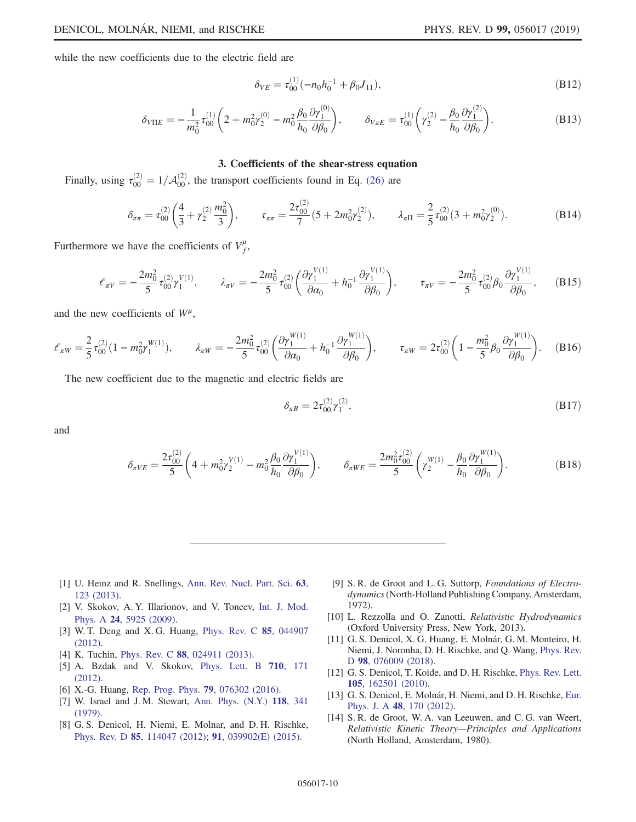while the new coefficients due to the electric field are

$$
\delta_{VE} = \tau_{00}^{(1)}(-n_0h_0^{-1} + \beta_0J_{11}),\tag{B12}
$$

$$
\delta_{V \Pi E} = -\frac{1}{m_0^2} \tau_{00}^{(1)} \left( 2 + m_0^2 \gamma_2^{(0)} - m_0^2 \frac{\beta_0}{h_0} \frac{\partial \gamma_1^{(0)}}{\partial \beta_0} \right), \qquad \delta_{V \pi E} = \tau_{00}^{(1)} \left( \gamma_2^{(2)} - \frac{\beta_0}{h_0} \frac{\partial \gamma_1^{(2)}}{\partial \beta_0} \right). \tag{B13}
$$

#### 3. Coefficients of the shear-stress equation

Finally, using  $\tau_{00}^{(2)} = 1/\mathcal{A}_{00}^{(2)}$ , the transport coefficients found in Eq. [\(26\)](#page-5-3) are

$$
\delta_{\pi\pi} = \tau_{00}^{(2)} \left( \frac{4}{3} + \gamma_2^{(2)} \frac{m_0^2}{3} \right), \qquad \tau_{\pi\pi} = \frac{2\tau_{00}^{(2)}}{7} (5 + 2m_0^2 \gamma_2^{(2)}), \qquad \lambda_{\pi\Pi} = \frac{2}{5} \tau_{00}^{(2)} (3 + m_0^2 \gamma_2^{(0)}).
$$
 (B14)

Furthermore we have the coefficients of  $V_f^{\mu}$ ,

$$
\mathcal{E}_{\pi V} = -\frac{2m_0^2}{5} \tau_{00}^{(2)} \gamma_1^{V(1)}, \qquad \lambda_{\pi V} = -\frac{2m_0^2}{5} \tau_{00}^{(2)} \left( \frac{\partial \gamma_1^{V(1)}}{\partial \alpha_0} + h_0^{-1} \frac{\partial \gamma_1^{V(1)}}{\partial \beta_0} \right), \qquad \tau_{\pi V} = -\frac{2m_0^2}{5} \tau_{00}^{(2)} \beta_0 \frac{\partial \gamma_1^{V(1)}}{\partial \beta_0}, \qquad (B15)
$$

and the new coefficients of  $W^{\mu}$ ,

$$
\ell_{\pi W} = \frac{2}{5} \tau_{00}^{(2)} (1 - m_0^2 \gamma_1^{W(1)}), \qquad \lambda_{\pi W} = -\frac{2m_0^2}{5} \tau_{00}^{(2)} \left( \frac{\partial \gamma_1^{W(1)}}{\partial \alpha_0} + h_0^{-1} \frac{\partial \gamma_1^{W(1)}}{\partial \beta_0} \right), \qquad \tau_{\pi W} = 2\tau_{00}^{(2)} \left( 1 - \frac{m_0^2}{5} \beta_0 \frac{\partial \gamma_1^{W(1)}}{\partial \beta_0} \right). \tag{B16}
$$

The new coefficient due to the magnetic and electric fields are

$$
\delta_{\pi B} = 2\tau_{00}^{(2)}\gamma_1^{(2)},\tag{B17}
$$

and

$$
\delta_{\pi VE} = \frac{2\tau_{00}^{(2)}}{5} \left( 4 + m_0^2 \gamma_2^{V(1)} - m_0^2 \frac{\beta_0}{h_0} \frac{\partial \gamma_1^{V(1)}}{\partial \beta_0} \right), \qquad \delta_{\pi WE} = \frac{2m_0^2 \tau_{00}^{(2)}}{5} \left( \gamma_2^{W(1)} - \frac{\beta_0}{h_0} \frac{\partial \gamma_1^{W(1)}}{\partial \beta_0} \right). \tag{B18}
$$

- <span id="page-10-0"></span>[1] U. Heinz and R. Snellings, [Ann. Rev. Nucl. Part. Sci.](https://doi.org/10.1146/annurev-nucl-102212-170540) 63, [123 \(2013\)](https://doi.org/10.1146/annurev-nucl-102212-170540).
- <span id="page-10-1"></span>[2] V. Skokov, A. Y. Illarionov, and V. Toneev, [Int. J. Mod.](https://doi.org/10.1142/S0217751X09047570) Phys. A 24[, 5925 \(2009\).](https://doi.org/10.1142/S0217751X09047570)
- [3] W. T. Deng and X. G. Huang, [Phys. Rev. C](https://doi.org/10.1103/PhysRevC.85.044907) 85, 044907 [\(2012\).](https://doi.org/10.1103/PhysRevC.85.044907)
- [4] K. Tuchin, Phys. Rev. C **88**[, 024911 \(2013\).](https://doi.org/10.1103/PhysRevC.88.024911)
- [5] A. Bzdak and V. Skokov, [Phys. Lett. B](https://doi.org/10.1016/j.physletb.2012.02.065) 710, 171 [\(2012\).](https://doi.org/10.1016/j.physletb.2012.02.065)
- <span id="page-10-2"></span>[6] X.-G. Huang, [Rep. Prog. Phys.](https://doi.org/10.1088/0034-4885/79/7/076302) 79, 076302 (2016).
- <span id="page-10-3"></span>[7] W. Israel and J. M. Stewart, [Ann. Phys. \(N.Y.\)](https://doi.org/10.1016/0003-4916(79)90130-1) 118, 341 [\(1979\)](https://doi.org/10.1016/0003-4916(79)90130-1).
- <span id="page-10-6"></span>[8] G. S. Denicol, H. Niemi, E. Molnar, and D. H. Rischke, Phys. Rev. D 85[, 114047 \(2012\)](https://doi.org/10.1103/PhysRevD.85.114047); 91[, 039902\(E\) \(2015\).](https://doi.org/10.1103/PhysRevD.91.039902)
- <span id="page-10-4"></span>[9] S. R. de Groot and L. G. Suttorp, Foundations of Electrodynamics(North-Holland Publishing Company, Amsterdam, 1972).
- [10] L. Rezzolla and O. Zanotti, Relativistic Hydrodynamics (Oxford University Press, New York, 2013).
- <span id="page-10-5"></span>[11] G. S. Denicol, X. G. Huang, E. Molnár, G. M. Monteiro, H. Niemi, J. Noronha, D. H. Rischke, and Q. Wang, [Phys. Rev.](https://doi.org/10.1103/PhysRevD.98.076009) D 98[, 076009 \(2018\)](https://doi.org/10.1103/PhysRevD.98.076009).
- [12] G. S. Denicol, T. Koide, and D. H. Rischke, [Phys. Rev. Lett.](https://doi.org/10.1103/PhysRevLett.105.162501) 105[, 162501 \(2010\).](https://doi.org/10.1103/PhysRevLett.105.162501)
- [13] G. S. Denicol, E. Molnár, H. Niemi, and D. H. Rischke, [Eur.](https://doi.org/10.1140/epja/i2012-12170-x) Phys. J. A 48[, 170 \(2012\)](https://doi.org/10.1140/epja/i2012-12170-x).
- <span id="page-10-7"></span>[14] S. R. de Groot, W. A. van Leeuwen, and C. G. van Weert, Relativistic Kinetic Theory—Principles and Applications (North Holland, Amsterdam, 1980).